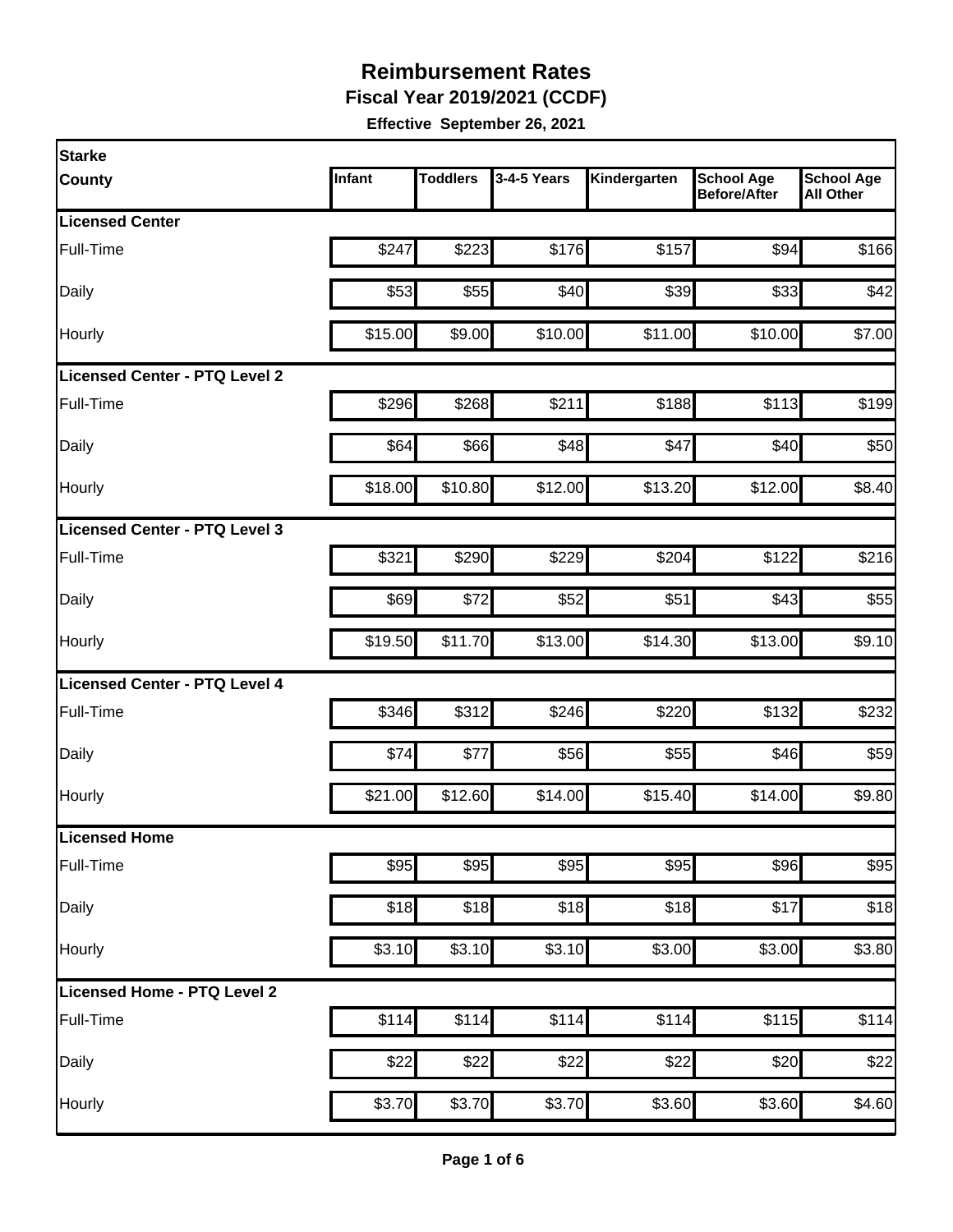**Fiscal Year 2019/2021 (CCDF)** 

| Starke                               |         |                 |             |              |                                          |                                       |
|--------------------------------------|---------|-----------------|-------------|--------------|------------------------------------------|---------------------------------------|
| <b>County</b>                        | Infant  | <b>Toddlers</b> | 3-4-5 Years | Kindergarten | <b>School Age</b><br><b>Before/After</b> | <b>School Age</b><br><b>All Other</b> |
| <b>Licensed Center</b>               |         |                 |             |              |                                          |                                       |
| Full-Time                            | \$247   | \$223           | \$176       | \$157        | \$94                                     | \$166                                 |
| Daily                                | \$53    | \$55            | \$40        | \$39         | \$33                                     | \$42                                  |
| Hourly                               | \$15.00 | \$9.00          | \$10.00     | \$11.00      | \$10.00                                  | \$7.00                                |
| <b>Licensed Center - PTQ Level 2</b> |         |                 |             |              |                                          |                                       |
| Full-Time                            | \$296   | \$268           | \$211       | \$188        | \$113                                    | \$199                                 |
| Daily                                | \$64    | \$66            | \$48        | \$47         | \$40                                     | \$50                                  |
| Hourly                               | \$18.00 | \$10.80         | \$12.00     | \$13.20      | \$12.00                                  | \$8.40                                |
| Licensed Center - PTQ Level 3        |         |                 |             |              |                                          |                                       |
| Full-Time                            | \$321   | \$290           | \$229       | \$204        | \$122                                    | \$216                                 |
| Daily                                | \$69    | \$72            | \$52        | \$51         | \$43                                     | \$55                                  |
| Hourly                               | \$19.50 | \$11.70         | \$13.00     | \$14.30      | \$13.00                                  | \$9.10                                |
| Licensed Center - PTQ Level 4        |         |                 |             |              |                                          |                                       |
| Full-Time                            | \$346   | \$312           | \$246       | \$220        | \$132                                    | \$232                                 |
| Daily                                | \$74    | \$77            | \$56        | \$55         | \$46                                     | \$59                                  |
| Hourly                               | \$21.00 | \$12.60         | \$14.00     | \$15.40      | \$14.00                                  | \$9.80                                |
| <b>Licensed Home</b>                 |         |                 |             |              |                                          |                                       |
| Full-Time                            | \$95    | \$95            | \$95        | \$95         | \$96                                     | \$95                                  |
| Daily                                | \$18    | \$18            | \$18        | \$18         | \$17                                     | \$18                                  |
| Hourly                               | \$3.10  | \$3.10          | \$3.10      | \$3.00       | \$3.00                                   | \$3.80                                |
| Licensed Home - PTQ Level 2          |         |                 |             |              |                                          |                                       |
| Full-Time                            | \$114   | \$114           | \$114       | \$114        | \$115                                    | \$114                                 |
| Daily                                | \$22    | \$22            | \$22        | \$22         | \$20                                     | \$22                                  |
| Hourly                               | \$3.70  | \$3.70          | \$3.70      | \$3.60       | \$3.60                                   | \$4.60                                |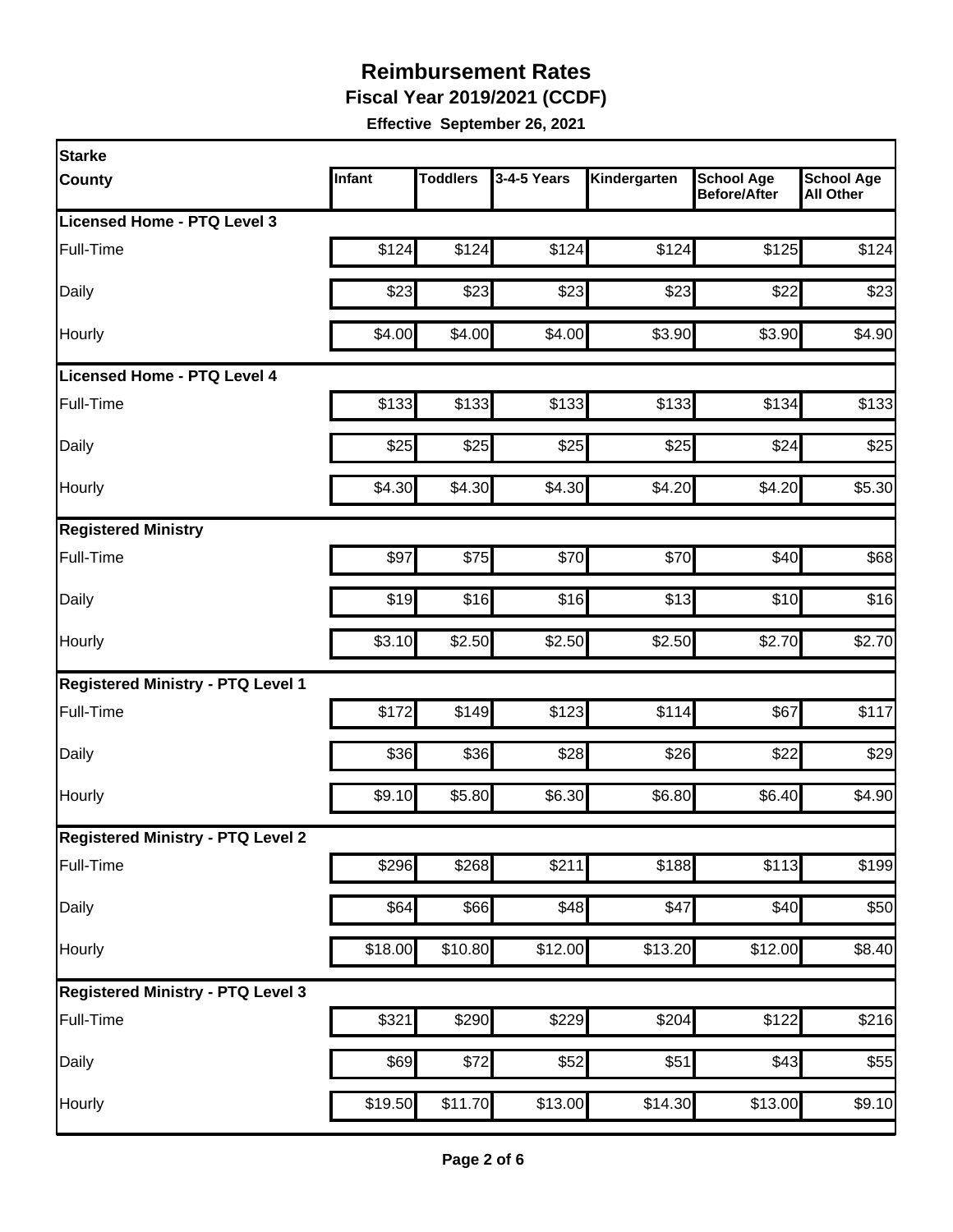**Fiscal Year 2019/2021 (CCDF)** 

| <b>Starke</b>                            |         |                 |                  |              |                                          |                                       |
|------------------------------------------|---------|-----------------|------------------|--------------|------------------------------------------|---------------------------------------|
| <b>County</b>                            | Infant  | <b>Toddlers</b> | 3-4-5 Years      | Kindergarten | <b>School Age</b><br><b>Before/After</b> | <b>School Age</b><br><b>All Other</b> |
| Licensed Home - PTQ Level 3              |         |                 |                  |              |                                          |                                       |
| Full-Time                                | \$124   | \$124           | \$124            | \$124        | \$125                                    | \$124                                 |
| Daily                                    | \$23    | \$23            | \$23             | \$23         | \$22                                     | \$23                                  |
| Hourly                                   | \$4.00  | \$4.00          | \$4.00           | \$3.90       | \$3.90                                   | \$4.90                                |
| Licensed Home - PTQ Level 4              |         |                 |                  |              |                                          |                                       |
| Full-Time                                | \$133   | \$133           | \$133            | \$133        | \$134                                    | \$133                                 |
| Daily                                    | \$25    | \$25            | \$25             | \$25         | \$24                                     | \$25                                  |
| Hourly                                   | \$4.30  | \$4.30          | \$4.30           | \$4.20       | \$4.20                                   | \$5.30                                |
| <b>Registered Ministry</b>               |         |                 |                  |              |                                          |                                       |
| Full-Time                                | \$97    | \$75            | \$70             | \$70         | \$40                                     | \$68                                  |
| Daily                                    | \$19    | \$16            | \$16             | \$13         | \$10                                     | \$16                                  |
| Hourly                                   | \$3.10  | \$2.50          | \$2.50           | \$2.50       | \$2.70                                   | \$2.70                                |
| <b>Registered Ministry - PTQ Level 1</b> |         |                 |                  |              |                                          |                                       |
| Full-Time                                | \$172   | \$149           | \$123            | \$114        | \$67                                     | \$117                                 |
| Daily                                    | \$36    | \$36            | \$28             | \$26         | \$22                                     | \$29                                  |
| Hourly                                   | \$9.10  | \$5.80          | \$6.30           | \$6.80       | \$6.40                                   | \$4.90                                |
| <b>Registered Ministry - PTQ Level 2</b> |         |                 |                  |              |                                          |                                       |
| Full-Time                                | \$296   | \$268           | \$211            | \$188        | \$113                                    | $\overline{$199}$                     |
| Daily                                    | \$64    | \$66]           | $\overline{$48}$ | \$47         | \$40                                     | \$50                                  |
| Hourly                                   | \$18.00 | \$10.80         | \$12.00          | \$13.20      | \$12.00                                  | \$8.40                                |
| <b>Registered Ministry - PTQ Level 3</b> |         |                 |                  |              |                                          |                                       |
| Full-Time                                | \$321   | \$290           | \$229            | \$204        | \$122                                    | \$216                                 |
| Daily                                    | \$69    | \$72            | $\overline{$}52$ | \$51         | $\overline{$}43$                         | \$55                                  |
| Hourly                                   | \$19.50 | \$11.70         | \$13.00          | \$14.30      | \$13.00                                  | \$9.10                                |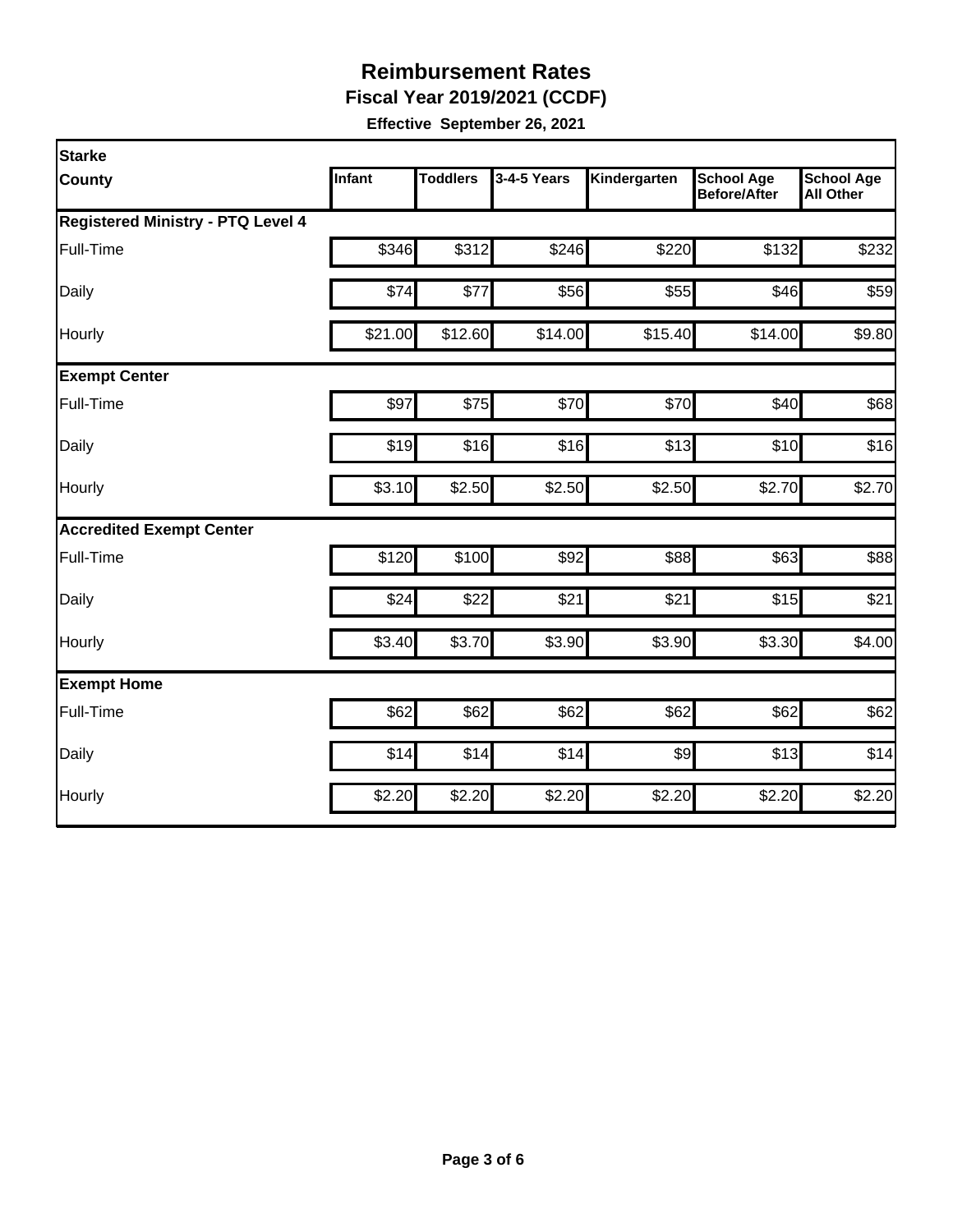**Fiscal Year 2019/2021 (CCDF)** 

| Starke                                   |         |                 |             |              |                                          |                                       |
|------------------------------------------|---------|-----------------|-------------|--------------|------------------------------------------|---------------------------------------|
| <b>County</b>                            | Infant  | <b>Toddlers</b> | 3-4-5 Years | Kindergarten | <b>School Age</b><br><b>Before/After</b> | <b>School Age</b><br><b>All Other</b> |
| <b>Registered Ministry - PTQ Level 4</b> |         |                 |             |              |                                          |                                       |
| Full-Time                                | \$346   | \$312           | \$246       | \$220        | \$132                                    | \$232                                 |
| Daily                                    | \$74    | \$77            | \$56        | \$55         | \$46                                     | \$59                                  |
| Hourly                                   | \$21.00 | \$12.60         | \$14.00     | \$15.40      | \$14.00                                  | \$9.80                                |
| <b>Exempt Center</b>                     |         |                 |             |              |                                          |                                       |
| Full-Time                                | \$97    | \$75            | \$70        | \$70         | \$40                                     | \$68                                  |
| Daily                                    | \$19    | \$16            | \$16        | \$13         | \$10                                     | \$16                                  |
| Hourly                                   | \$3.10  | \$2.50          | \$2.50      | \$2.50       | \$2.70                                   | \$2.70                                |
| <b>Accredited Exempt Center</b>          |         |                 |             |              |                                          |                                       |
| Full-Time                                | \$120   | \$100           | \$92        | \$88         | \$63                                     | \$88                                  |
| Daily                                    | \$24    | \$22            | \$21        | \$21         | \$15                                     | \$21                                  |
| Hourly                                   | \$3.40  | \$3.70          | \$3.90      | \$3.90       | \$3.30                                   | \$4.00                                |
| <b>Exempt Home</b>                       |         |                 |             |              |                                          |                                       |
| Full-Time                                | \$62    | \$62            | \$62        | \$62         | \$62                                     | \$62                                  |
| Daily                                    | \$14    | \$14            | \$14        | \$9          | \$13                                     | \$14                                  |
| Hourly                                   | \$2.20  | \$2.20          | \$2.20      | \$2.20       | \$2.20                                   | \$2.20                                |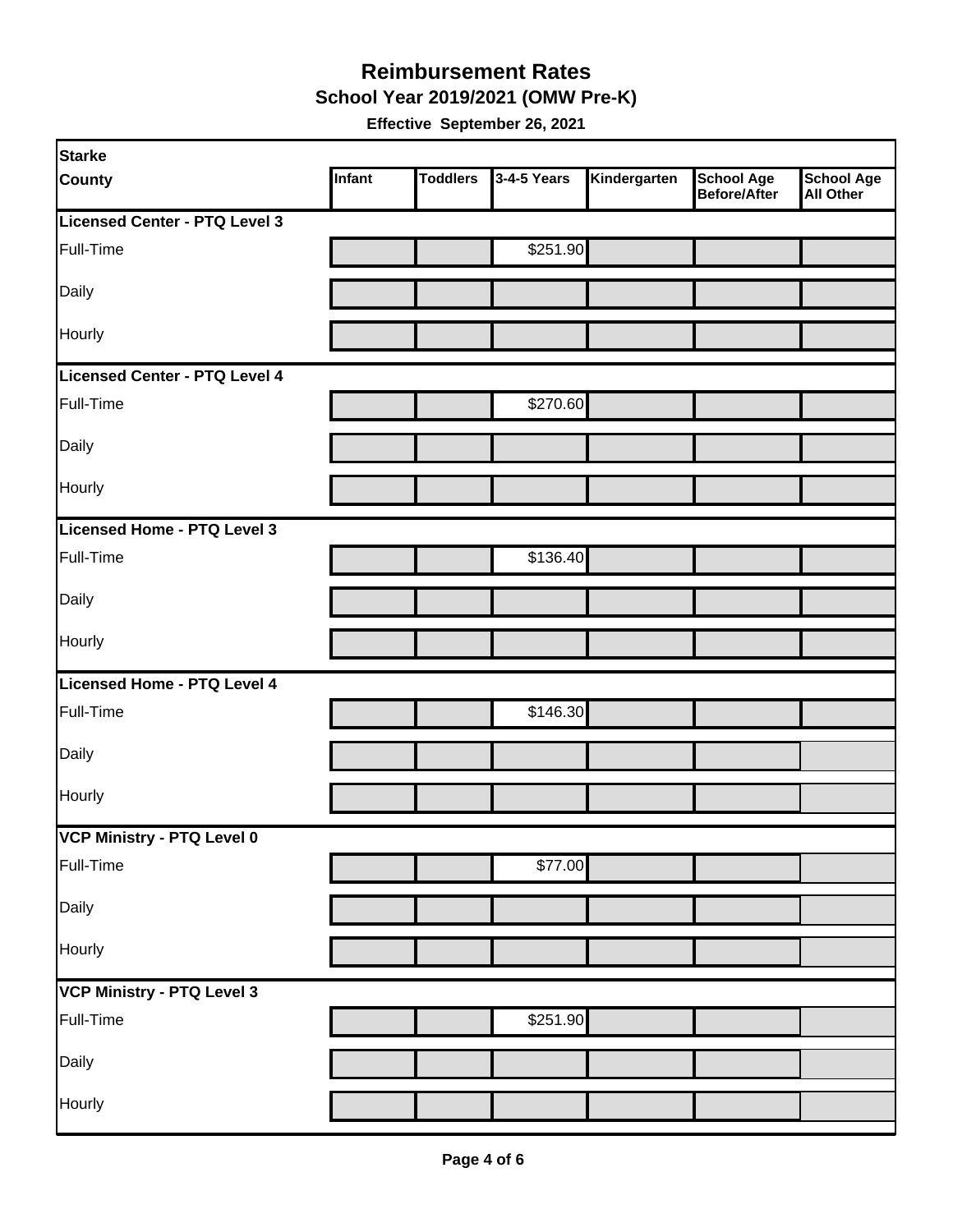#### **Reimbursement Rates School Year 2019/2021 (OMW Pre-K)**

| <b>Starke</b>                     |        |                 |             |              |                                   |                                       |
|-----------------------------------|--------|-----------------|-------------|--------------|-----------------------------------|---------------------------------------|
| <b>County</b>                     | Infant | <b>Toddlers</b> | 3-4-5 Years | Kindergarten | <b>School Age</b><br>Before/After | <b>School Age</b><br><b>All Other</b> |
| Licensed Center - PTQ Level 3     |        |                 |             |              |                                   |                                       |
| Full-Time                         |        |                 | \$251.90    |              |                                   |                                       |
| Daily                             |        |                 |             |              |                                   |                                       |
| Hourly                            |        |                 |             |              |                                   |                                       |
| Licensed Center - PTQ Level 4     |        |                 |             |              |                                   |                                       |
| Full-Time                         |        |                 | \$270.60    |              |                                   |                                       |
| Daily                             |        |                 |             |              |                                   |                                       |
| Hourly                            |        |                 |             |              |                                   |                                       |
| Licensed Home - PTQ Level 3       |        |                 |             |              |                                   |                                       |
| Full-Time                         |        |                 | \$136.40    |              |                                   |                                       |
| Daily                             |        |                 |             |              |                                   |                                       |
| Hourly                            |        |                 |             |              |                                   |                                       |
| Licensed Home - PTQ Level 4       |        |                 |             |              |                                   |                                       |
| Full-Time                         |        |                 | \$146.30    |              |                                   |                                       |
| Daily                             |        |                 |             |              |                                   |                                       |
| Hourly                            |        |                 |             |              |                                   |                                       |
| VCP Ministry - PTQ Level 0        |        |                 |             |              |                                   |                                       |
| Full-Time                         |        |                 | \$77.00     |              |                                   |                                       |
| Daily                             |        |                 |             |              |                                   |                                       |
| Hourly                            |        |                 |             |              |                                   |                                       |
| <b>VCP Ministry - PTQ Level 3</b> |        |                 |             |              |                                   |                                       |
| Full-Time                         |        |                 | \$251.90    |              |                                   |                                       |
| Daily                             |        |                 |             |              |                                   |                                       |
| Hourly                            |        |                 |             |              |                                   |                                       |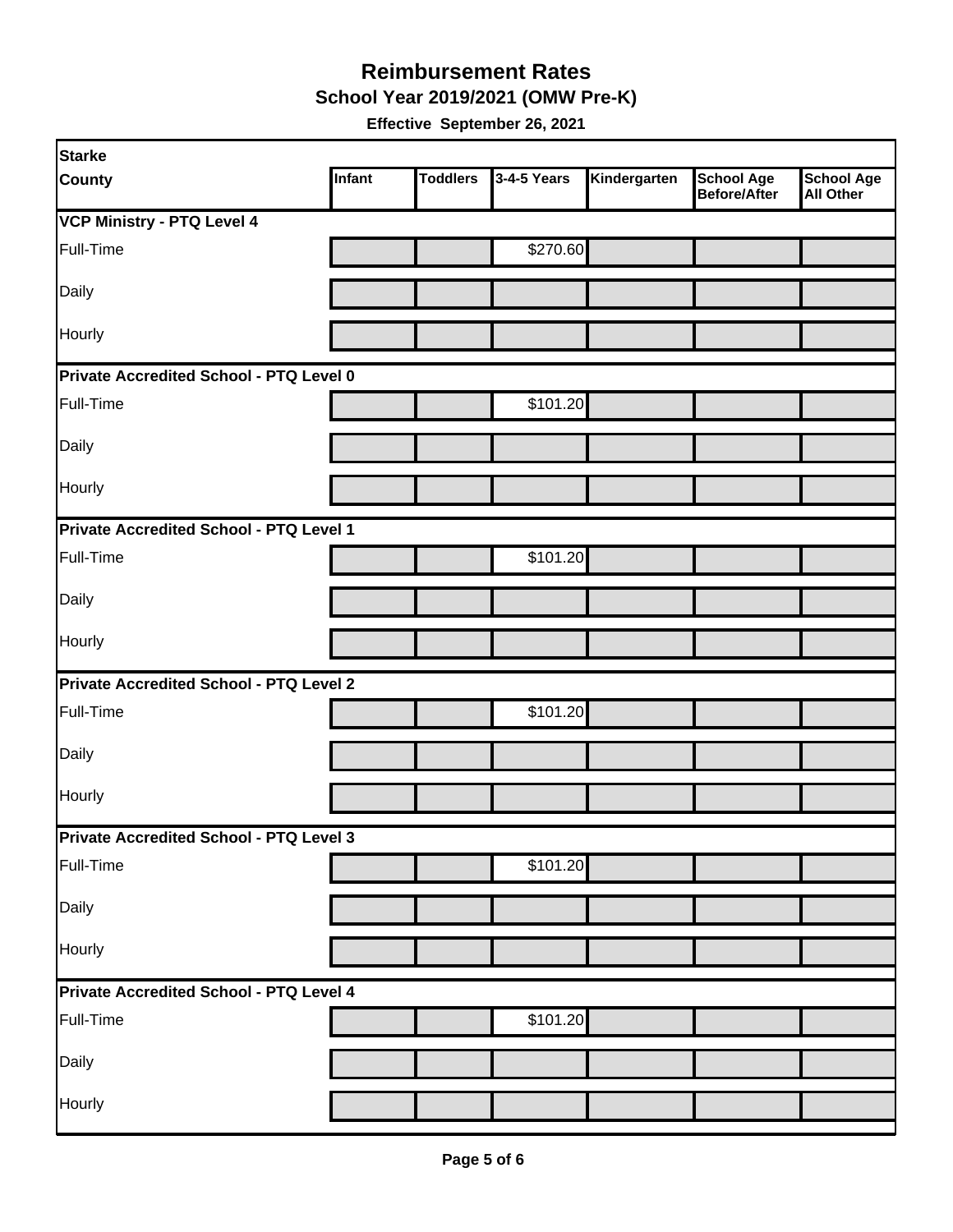**School Year 2019/2021 (OMW Pre-K)** 

| <b>Starke</b>                                  |        |                 |             |              |                                          |                                       |  |  |
|------------------------------------------------|--------|-----------------|-------------|--------------|------------------------------------------|---------------------------------------|--|--|
| <b>County</b>                                  | Infant | <b>Toddlers</b> | 3-4-5 Years | Kindergarten | <b>School Age</b><br><b>Before/After</b> | <b>School Age</b><br><b>All Other</b> |  |  |
| <b>VCP Ministry - PTQ Level 4</b>              |        |                 |             |              |                                          |                                       |  |  |
| Full-Time                                      |        |                 | \$270.60    |              |                                          |                                       |  |  |
| Daily                                          |        |                 |             |              |                                          |                                       |  |  |
| Hourly                                         |        |                 |             |              |                                          |                                       |  |  |
| Private Accredited School - PTQ Level 0        |        |                 |             |              |                                          |                                       |  |  |
| Full-Time                                      |        |                 | \$101.20    |              |                                          |                                       |  |  |
| Daily                                          |        |                 |             |              |                                          |                                       |  |  |
| Hourly                                         |        |                 |             |              |                                          |                                       |  |  |
| Private Accredited School - PTQ Level 1        |        |                 |             |              |                                          |                                       |  |  |
| Full-Time                                      |        |                 | \$101.20    |              |                                          |                                       |  |  |
| Daily                                          |        |                 |             |              |                                          |                                       |  |  |
| <b>Hourly</b>                                  |        |                 |             |              |                                          |                                       |  |  |
| Private Accredited School - PTQ Level 2        |        |                 |             |              |                                          |                                       |  |  |
| Full-Time                                      |        |                 | \$101.20    |              |                                          |                                       |  |  |
| Daily                                          |        |                 |             |              |                                          |                                       |  |  |
| Hourly                                         |        |                 |             |              |                                          |                                       |  |  |
| Private Accredited School - PTQ Level 3        |        |                 |             |              |                                          |                                       |  |  |
| Full-Time                                      |        |                 | \$101.20    |              |                                          |                                       |  |  |
| Daily                                          |        |                 |             |              |                                          |                                       |  |  |
| Hourly                                         |        |                 |             |              |                                          |                                       |  |  |
| <b>Private Accredited School - PTQ Level 4</b> |        |                 |             |              |                                          |                                       |  |  |
| Full-Time                                      |        |                 | \$101.20    |              |                                          |                                       |  |  |
| Daily                                          |        |                 |             |              |                                          |                                       |  |  |
| Hourly                                         |        |                 |             |              |                                          |                                       |  |  |